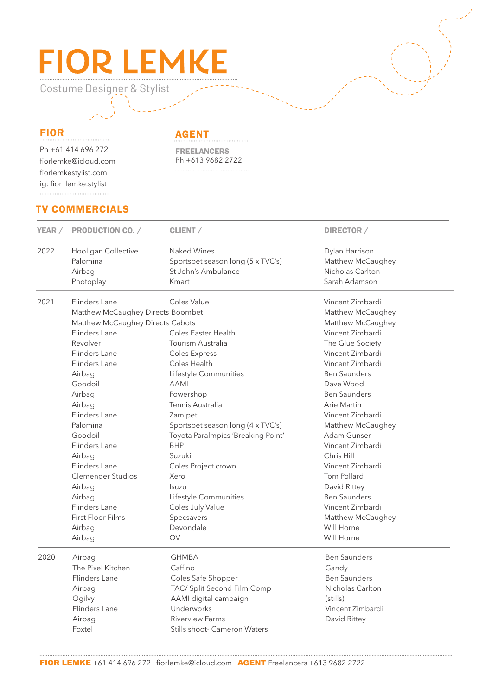# **FIOR LEMKE**

Costume Designer & Stylist

#### FIOR

Ph +61 414 696 272 fiorlemke@icloud.com fiorlemkestylist.com ig: fior\_lemke.stylist

AGENT

FREELANCERS Ph +613 9682 2722 

### TV COMMERCIALS

|      | YEAR / PRODUCTION CO. /           | CLIENT/                            | DIRECTOR /          |
|------|-----------------------------------|------------------------------------|---------------------|
| 2022 | Hooligan Collective               | Naked Wines                        | Dylan Harrison      |
|      | Palomina                          | Sportsbet season long (5 x TVC's)  | Matthew McCaughey   |
|      | Airbag                            | St John's Ambulance                | Nicholas Carlton    |
|      | Photoplay                         | Kmart                              | Sarah Adamson       |
| 2021 | Flinders Lane                     | Coles Value                        | Vincent Zimbardi    |
|      | Matthew McCaughey Directs Boombet |                                    | Matthew McCaughey   |
|      | Matthew McCaughey Directs Cabots  |                                    | Matthew McCaughey   |
|      | Flinders Lane                     | <b>Coles Easter Health</b>         | Vincent Zimbardi    |
|      | Revolver                          | Tourism Australia                  | The Glue Society    |
|      | Flinders Lane                     | <b>Coles Express</b>               | Vincent Zimbardi    |
|      | Flinders Lane                     | Coles Health                       | Vincent Zimbardi    |
|      | Airbag                            | Lifestyle Communities              | <b>Ben Saunders</b> |
|      | Goodoil                           | <b>AAMI</b>                        | Dave Wood           |
|      | Airbag                            | Powershop                          | <b>Ben Saunders</b> |
|      | Airbag                            | Tennis Australia                   | ArielMartin         |
|      | Flinders Lane                     | Zamipet                            | Vincent Zimbardi    |
|      | Palomina                          | Sportsbet season long (4 x TVC's)  | Matthew McCaughey   |
|      | Goodoil                           | Toyota Paralmpics 'Breaking Point' | Adam Gunser         |
|      | Flinders Lane                     | <b>BHP</b>                         | Vincent Zimbardi    |
|      | Airbag                            | Suzuki                             | Chris Hill          |
|      | Flinders Lane                     | Coles Project crown                | Vincent Zimbardi    |
|      | <b>Clemenger Studios</b>          | Xero                               | Tom Pollard         |
|      | Airbag                            | <b>Isuzu</b>                       | David Rittey        |
|      | Airbag                            | Lifestyle Communities              | <b>Ben Saunders</b> |
|      | Flinders Lane                     | Coles July Value                   | Vincent Zimbardi    |
|      | <b>First Floor Films</b>          | Specsavers                         | Matthew McCaughey   |
|      | Airbag                            | Devondale                          | Will Horne          |
|      | Airbag                            | QV                                 | Will Horne          |
| 2020 | Airbag                            | <b>GHMBA</b>                       | <b>Ben Saunders</b> |
|      | The Pixel Kitchen                 | Caffino                            | Gandy               |
|      | Flinders Lane                     | Coles Safe Shopper                 | <b>Ben Saunders</b> |
|      | Airbag                            | TAC/ Split Second Film Comp        | Nicholas Carlton    |
|      | Ogilvy                            | AAMI digital campaign              | (stills)            |
|      | Flinders Lane                     | Underworks                         | Vincent Zimbardi    |
|      | Airbag                            | <b>Riverview Farms</b>             | David Rittey        |
|      | Foxtel                            | Stills shoot- Cameron Waters       |                     |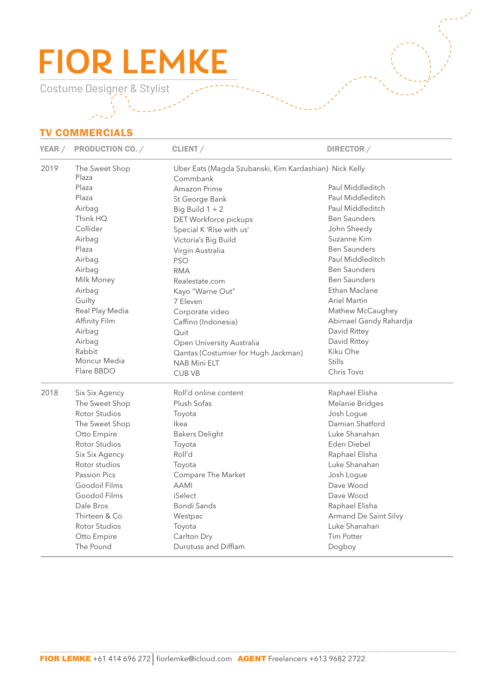# **FIOR LEMKE**

Costume Designer & Stylist

## TV COMMERCIALS

| <b>YEAR</b> / | <b>PRODUCTION CO. /</b> | CLIENT/                                                | DIRECTOR /             |  |
|---------------|-------------------------|--------------------------------------------------------|------------------------|--|
| 2019          | The Sweet Shop          | Uber Eats (Magda Szubanski, Kim Kardashian) Nick Kelly |                        |  |
|               | Plaza                   | Commbank                                               |                        |  |
|               | Plaza                   | Amazon Prime                                           | Paul Middleditch       |  |
|               | Plaza                   | St George Bank                                         | Paul Middleditch       |  |
|               | Airbag                  | Big Build $1 + 2$                                      | Paul Middleditch       |  |
|               | Think HQ                | DET Workforce pickups                                  | <b>Ben Saunders</b>    |  |
|               | Collider                | Special K 'Rise with us'                               | John Sheedy            |  |
|               | Airbag                  | Victoria's Big Build                                   | Suzanne Kim            |  |
|               | Plaza                   | Virgin Australia                                       | <b>Ben Saunders</b>    |  |
|               | Airbag                  | <b>PSO</b>                                             | Paul Middleditch       |  |
|               | Airbag                  | <b>RMA</b>                                             | <b>Ben Saunders</b>    |  |
|               | Milk Money              | Realestate.com                                         | <b>Ben Saunders</b>    |  |
|               | Airbag                  | Kayo "Warne Out"                                       | Ethan Maclane          |  |
|               | Guilty                  | 7 Eleven                                               | Ariel Martin           |  |
|               | Real Play Media         | Corporate video                                        | Mathew McCaughey       |  |
|               | Affinity Film           | Caffino (Indonesia)                                    | Abimael Gandy Rahardja |  |
|               | Airbag                  | Quit                                                   | David Rittey           |  |
|               | Airbag                  | Open University Australia                              | David Rittey           |  |
|               | Rabbit                  | Qantas (Costumier for Hugh Jackman)                    | Kiku Ohe               |  |
|               | Moncur Media            | <b>NAB Mini ELT</b>                                    | <b>Stills</b>          |  |
|               | Flare BBDO              | <b>CUB VB</b>                                          | Chris Tovo             |  |
| 2018          | Six Six Agency          | Roll'd online content                                  | Raphael Elisha         |  |
|               | The Sweet Shop          | Plush Sofas                                            | Melanie Bridges        |  |
|               | <b>Rotor Studios</b>    | Toyota                                                 | Josh Logue             |  |
|               | The Sweet Shop          | Ikea                                                   | Damian Shatford        |  |
|               | Otto Empire             | <b>Bakers Delight</b>                                  | Luke Shanahan          |  |
|               | Rotor Studios           | Toyota                                                 | Eden Diebel            |  |
|               | Six Six Agency          | Roll'd                                                 | Raphael Elisha         |  |
|               | Rotor studios           | Toyota                                                 | Luke Shanahan          |  |
|               | Passion Pics            | Compare The Market                                     | Josh Logue             |  |
|               | Goodoil Films           | <b>AAMI</b>                                            | Dave Wood              |  |
|               | Goodoil Films           | iSelect                                                | Dave Wood              |  |
|               | Dale Bros               | <b>Bondi Sands</b>                                     | Raphael Elisha         |  |
|               | Thirteen & Co           | Westpac                                                | Armand De Saint Silvy  |  |
|               | Rotor Studios           | Toyota                                                 | Luke Shanahan          |  |
|               | Otto Empire             | Carlton Dry                                            | Tim Potter             |  |
|               | The Pound               | Durotuss and Difflam                                   | Dogboy                 |  |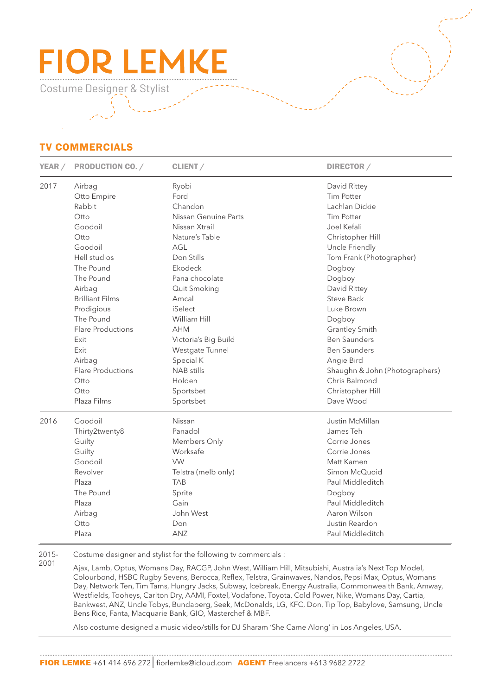# **FIOR LEMK**

Costume Designer & Stylist

### TV COMMERCIALS

| YEAR / | <b>PRODUCTION CO. /</b>  | CLIENT/              | DIRECTOR /                     |
|--------|--------------------------|----------------------|--------------------------------|
| 2017   | Airbag                   | Ryobi                | David Rittey                   |
|        | Otto Empire              | Ford                 | <b>Tim Potter</b>              |
|        | Rabbit                   | Chandon              | Lachlan Dickie                 |
|        | Otto                     | Nissan Genuine Parts | <b>Tim Potter</b>              |
|        | Goodoil                  | Nissan Xtrail        | Joel Kefali                    |
|        | Otto                     | Nature's Table       | Christopher Hill               |
|        | Goodoil                  | AGL                  | Uncle Friendly                 |
|        | Hell studios             | Don Stills           | Tom Frank (Photographer)       |
|        | The Pound                | Ekodeck              | Dogboy                         |
|        | The Pound                | Pana chocolate       | Dogboy                         |
|        | Airbag                   | Quit Smoking         | David Rittey                   |
|        | <b>Brilliant Films</b>   | Amcal                | <b>Steve Back</b>              |
|        | Prodigious               | iSelect              | Luke Brown                     |
|        | The Pound                | William Hill         | Dogboy                         |
|        | <b>Flare Productions</b> | <b>AHM</b>           | <b>Grantley Smith</b>          |
|        | Exit                     | Victoria's Big Build | <b>Ben Saunders</b>            |
|        | Exit                     | Westgate Tunnel      | <b>Ben Saunders</b>            |
|        | Airbag                   | Special K            | Angie Bird                     |
|        | <b>Flare Productions</b> | <b>NAB</b> stills    | Shaughn & John (Photographers) |
|        | Otto                     | Holden               | Chris Balmond                  |
|        | Otto                     | Sportsbet            | Christopher Hill               |
|        | Plaza Films              | Sportsbet            | Dave Wood                      |
| 2016   | Goodoil                  | Nissan               | Justin McMillan                |
|        | Thirty2twenty8           | Panadol              | James Teh                      |
|        | Guilty                   | Members Only         | Corrie Jones                   |
|        | Guilty                   | Worksafe             | Corrie Jones                   |
|        | Goodoil                  | <b>VW</b>            | Matt Kamen                     |
|        | Revolver                 | Telstra (melb only)  | Simon McQuoid                  |
|        | Plaza                    | <b>TAB</b>           | Paul Middleditch               |
|        | The Pound                | Sprite               | Dogboy                         |
|        | Plaza                    | Gain                 | Paul Middleditch               |
|        | Airbag                   | John West            | Aaron Wilson                   |
|        | Otto                     | Don                  | Justin Reardon                 |
|        | Plaza                    | ANZ                  | Paul Middleditch               |

2015- Costume designer and stylist for the following tv commercials :

2001 Ajax, Lamb, Optus, Womans Day, RACGP, John West, William Hill, Mitsubishi, Australia's Next Top Model, Colourbond, HSBC Rugby Sevens, Berocca, Reflex, Telstra, Grainwaves, Nandos, Pepsi Max, Optus, Womans Day, Network Ten, Tim Tams, Hungry Jacks, Subway, Icebreak, Energy Australia, Commonwealth Bank, Amway, Westfields, Tooheys, Carlton Dry, AAMI, Foxtel, Vodafone, Toyota, Cold Power, Nike, Womans Day, Cartia, Bankwest, ANZ, Uncle Tobys, Bundaberg, Seek, McDonalds, LG, KFC, Don, Tip Top, Babylove, Samsung, Uncle Bens Rice, Fanta, Macquarie Bank, GIO, Masterchef & MBF.

Also costume designed a music video/stills for DJ Sharam 'She Came Along' in Los Angeles, USA.